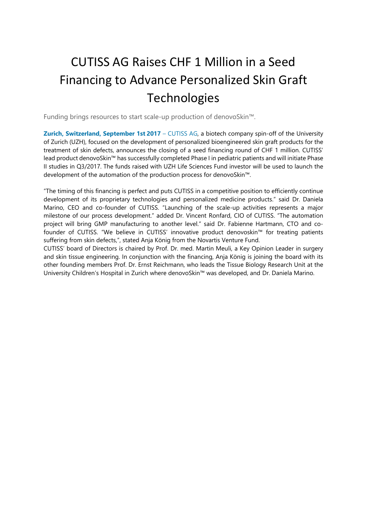# CUTISS AG Raises CHF 1 Million in a Seed Financing to Advance Personalized Skin Graft **Technologies**

Funding brings resources to start scale-up production of denovoSkin™.

**Zurich, Switzerland, September 1st 2017** – CUTISS AG, a biotech company spin-off of the University of Zurich (UZH), focused on the development of personalized bioengineered skin graft products for the treatment of skin defects, announces the closing of a seed financing round of CHF 1 million. CUTISS' lead product denovoSkin™ has successfully completed Phase I in pediatric patients and will initiate Phase II studies in Q3/2017. The funds raised with UZH Life Sciences Fund investor will be used to launch the development of the automation of the production process for denovoSkin™.

"The timing of this financing is perfect and puts CUTISS in a competitive position to efficiently continue development of its proprietary technologies and personalized medicine products." said Dr. Daniela Marino, CEO and co-founder of CUTISS. "Launching of the scale-up activities represents a major milestone of our process development." added Dr. Vincent Ronfard, CIO of CUTISS. "The automation project will bring GMP manufacturing to another level." said Dr. Fabienne Hartmann, CTO and cofounder of CUTISS. "We believe in CUTISS' innovative product denovoskin™ for treating patients suffering from skin defects,", stated Anja König from the Novartis Venture Fund.

CUTISS' board of Directors is chaired by Prof. Dr. med. Martin Meuli, a Key Opinion Leader in surgery and skin tissue engineering. In conjunction with the financing, Anja König is joining the board with its other founding members Prof. Dr. Ernst Reichmann, who leads the Tissue Biology Research Unit at the University Children's Hospital in Zurich where denovoSkin™ was developed, and Dr. Daniela Marino.